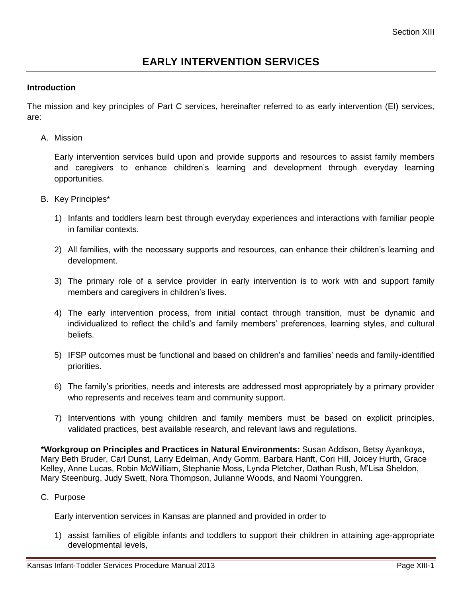# **EARLY INTERVENTION SERVICES**

### **Introduction**

The mission and key principles of Part C services, hereinafter referred to as early intervention (EI) services, are:

A. Mission

Early intervention services build upon and provide supports and resources to assist family members and caregivers to enhance children's learning and development through everyday learning opportunities.

- B. Key Principles\*
	- 1) Infants and toddlers learn best through everyday experiences and interactions with familiar people in familiar contexts.
	- 2) All families, with the necessary supports and resources, can enhance their children's learning and development.
	- 3) The primary role of a service provider in early intervention is to work with and support family members and caregivers in children's lives.
	- 4) The early intervention process, from initial contact through transition, must be dynamic and individualized to reflect the child's and family members' preferences, learning styles, and cultural beliefs.
	- 5) IFSP outcomes must be functional and based on children's and families' needs and family-identified priorities.
	- 6) The family's priorities, needs and interests are addressed most appropriately by a primary provider who represents and receives team and community support.
	- 7) Interventions with young children and family members must be based on explicit principles, validated practices, best available research, and relevant laws and regulations.

**\*Workgroup on Principles and Practices in Natural Environments:** Susan Addison, Betsy Ayankoya, Mary Beth Bruder, Carl Dunst, Larry Edelman, Andy Gomm, Barbara Hanft, Cori Hill, Joicey Hurth, Grace Kelley, Anne Lucas, Robin McWilliam, Stephanie Moss, Lynda Pletcher, Dathan Rush, M'Lisa Sheldon, Mary Steenburg, Judy Swett, Nora Thompson, Julianne Woods, and Naomi Younggren.

C. Purpose

Early intervention services in Kansas are planned and provided in order to

1) assist families of eligible infants and toddlers to support their children in attaining age-appropriate developmental levels,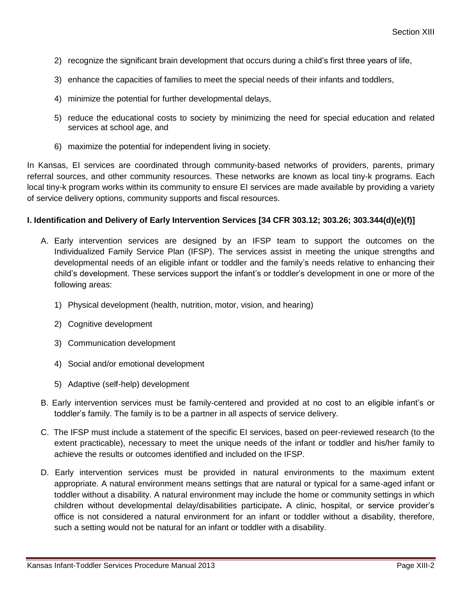- 2) recognize the significant brain development that occurs during a child's first three years of life,
- 3) enhance the capacities of families to meet the special needs of their infants and toddlers,
- 4) minimize the potential for further developmental delays,
- 5) reduce the educational costs to society by minimizing the need for special education and related services at school age, and
- 6) maximize the potential for independent living in society.

In Kansas, EI services are coordinated through community-based networks of providers, parents, primary referral sources, and other community resources. These networks are known as local tiny-k programs. Each local tiny-k program works within its community to ensure EI services are made available by providing a variety of service delivery options, community supports and fiscal resources.

#### **I. Identification and Delivery of Early Intervention Services [34 CFR 303.12; 303.26; 303.344(d)(e)(f)]**

- A. Early intervention services are designed by an IFSP team to support the outcomes on the Individualized Family Service Plan (IFSP). The services assist in meeting the unique strengths and developmental needs of an eligible infant or toddler and the family's needs relative to enhancing their child's development. These services support the infant's or toddler's development in one or more of the following areas:
	- 1) Physical development (health, nutrition, motor, vision, and hearing)
	- 2) Cognitive development
	- 3) Communication development
	- 4) Social and/or emotional development
	- 5) Adaptive (self-help) development
- B. Early intervention services must be family-centered and provided at no cost to an eligible infant's or toddler's family. The family is to be a partner in all aspects of service delivery.
- C. The IFSP must include a statement of the specific EI services, based on peer-reviewed research (to the extent practicable), necessary to meet the unique needs of the infant or toddler and his/her family to achieve the results or outcomes identified and included on the IFSP.
- D. Early intervention services must be provided in natural environments to the maximum extent appropriate. A natural environment means settings that are natural or typical for a same-aged infant or toddler without a disability. A natural environment may include the home or community settings in which children without developmental delay/disabilities participate**.** A clinic, hospital, or service provider's office is not considered a natural environment for an infant or toddler without a disability, therefore, such a setting would not be natural for an infant or toddler with a disability.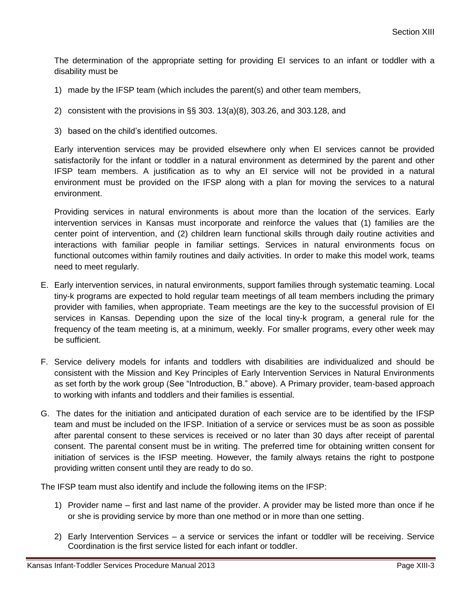The determination of the appropriate setting for providing EI services to an infant or toddler with a disability must be

- 1) made by the IFSP team (which includes the parent(s) and other team members,
- 2) consistent with the provisions in §§ 303. 13(a)(8), 303.26, and 303.128, and
- 3) based on the child's identified outcomes.

Early intervention services may be provided elsewhere only when EI services cannot be provided satisfactorily for the infant or toddler in a natural environment as determined by the parent and other IFSP team members. A justification as to why an EI service will not be provided in a natural environment must be provided on the IFSP along with a plan for moving the services to a natural environment.

Providing services in natural environments is about more than the location of the services. Early intervention services in Kansas must incorporate and reinforce the values that (1) families are the center point of intervention, and (2) children learn functional skills through daily routine activities and interactions with familiar people in familiar settings. Services in natural environments focus on functional outcomes within family routines and daily activities. In order to make this model work, teams need to meet regularly.

- E. Early intervention services, in natural environments, support families through systematic teaming. Local tiny-k programs are expected to hold regular team meetings of all team members including the primary provider with families, when appropriate. Team meetings are the key to the successful provision of EI services in Kansas. Depending upon the size of the local tiny-k program, a general rule for the frequency of the team meeting is, at a minimum, weekly. For smaller programs, every other week may be sufficient.
- F. Service delivery models for infants and toddlers with disabilities are individualized and should be consistent with the Mission and Key Principles of Early Intervention Services in Natural Environments as set forth by the work group (See "Introduction, B." above). A Primary provider, team-based approach to working with infants and toddlers and their families is essential.
- G. The dates for the initiation and anticipated duration of each service are to be identified by the IFSP team and must be included on the IFSP. Initiation of a service or services must be as soon as possible after parental consent to these services is received or no later than 30 days after receipt of parental consent. The parental consent must be in writing. The preferred time for obtaining written consent for initiation of services is the IFSP meeting. However, the family always retains the right to postpone providing written consent until they are ready to do so.

The IFSP team must also identify and include the following items on the IFSP:

- 1) Provider name first and last name of the provider. A provider may be listed more than once if he or she is providing service by more than one method or in more than one setting.
- 2) Early Intervention Services a service or services the infant or toddler will be receiving. Service Coordination is the first service listed for each infant or toddler.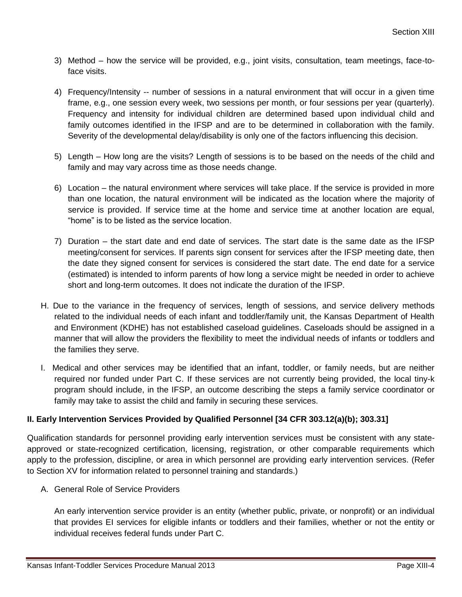- 3) Method how the service will be provided, e.g., joint visits, consultation, team meetings, face-toface visits.
- 4) Frequency/Intensity -- number of sessions in a natural environment that will occur in a given time frame, e.g., one session every week, two sessions per month, or four sessions per year (quarterly). Frequency and intensity for individual children are determined based upon individual child and family outcomes identified in the IFSP and are to be determined in collaboration with the family. Severity of the developmental delay/disability is only one of the factors influencing this decision.
- 5) Length How long are the visits? Length of sessions is to be based on the needs of the child and family and may vary across time as those needs change.
- 6) Location the natural environment where services will take place. If the service is provided in more than one location, the natural environment will be indicated as the location where the majority of service is provided. If service time at the home and service time at another location are equal, "home" is to be listed as the service location.
- 7) Duration the start date and end date of services. The start date is the same date as the IFSP meeting/consent for services. If parents sign consent for services after the IFSP meeting date, then the date they signed consent for services is considered the start date. The end date for a service (estimated) is intended to inform parents of how long a service might be needed in order to achieve short and long-term outcomes. It does not indicate the duration of the IFSP.
- H. Due to the variance in the frequency of services, length of sessions, and service delivery methods related to the individual needs of each infant and toddler/family unit, the Kansas Department of Health and Environment (KDHE) has not established caseload guidelines. Caseloads should be assigned in a manner that will allow the providers the flexibility to meet the individual needs of infants or toddlers and the families they serve.
- I. Medical and other services may be identified that an infant, toddler, or family needs, but are neither required nor funded under Part C. If these services are not currently being provided, the local tiny-k program should include, in the IFSP, an outcome describing the steps a family service coordinator or family may take to assist the child and family in securing these services.

# **II. Early Intervention Services Provided by Qualified Personnel [34 CFR 303.12(a)(b); 303.31]**

Qualification standards for personnel providing early intervention services must be consistent with any stateapproved or state-recognized certification, licensing, registration, or other comparable requirements which apply to the profession, discipline, or area in which personnel are providing early intervention services. (Refer to Section XV for information related to personnel training and standards.)

A. General Role of Service Providers

An early intervention service provider is an entity (whether public, private, or nonprofit) or an individual that provides EI services for eligible infants or toddlers and their families, whether or not the entity or individual receives federal funds under Part C.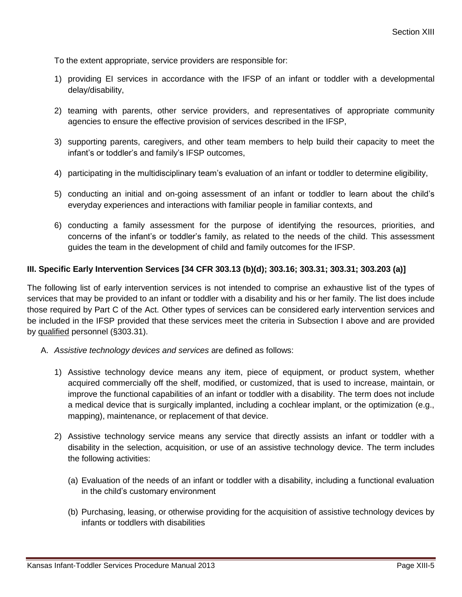To the extent appropriate, service providers are responsible for:

- 1) providing EI services in accordance with the IFSP of an infant or toddler with a developmental delay/disability,
- 2) teaming with parents, other service providers, and representatives of appropriate community agencies to ensure the effective provision of services described in the IFSP,
- 3) supporting parents, caregivers, and other team members to help build their capacity to meet the infant's or toddler's and family's IFSP outcomes,
- 4) participating in the multidisciplinary team's evaluation of an infant or toddler to determine eligibility,
- 5) conducting an initial and on-going assessment of an infant or toddler to learn about the child's everyday experiences and interactions with familiar people in familiar contexts, and
- 6) conducting a family assessment for the purpose of identifying the resources, priorities, and concerns of the infant's or toddler's family, as related to the needs of the child. This assessment guides the team in the development of child and family outcomes for the IFSP.

## **III. Specific Early Intervention Services [34 CFR 303.13 (b)(d); 303.16; 303.31; 303.31; 303.203 (a)]**

The following list of early intervention services is not intended to comprise an exhaustive list of the types of services that may be provided to an infant or toddler with a disability and his or her family. The list does include those required by Part C of the Act. Other types of services can be considered early intervention services and be included in the IFSP provided that these services meet the criteria in Subsection I above and are provided by qualified personnel (§303.31).

- A. *Assistive technology devices and services* are defined as follows:
	- 1) Assistive technology device means any item, piece of equipment, or product system, whether acquired commercially off the shelf, modified, or customized, that is used to increase, maintain, or improve the functional capabilities of an infant or toddler with a disability. The term does not include a medical device that is surgically implanted, including a cochlear implant, or the optimization (e.g., mapping), maintenance, or replacement of that device.
	- 2) Assistive technology service means any service that directly assists an infant or toddler with a disability in the selection, acquisition, or use of an assistive technology device. The term includes the following activities:
		- (a) Evaluation of the needs of an infant or toddler with a disability, including a functional evaluation in the child's customary environment
		- (b) Purchasing, leasing, or otherwise providing for the acquisition of assistive technology devices by infants or toddlers with disabilities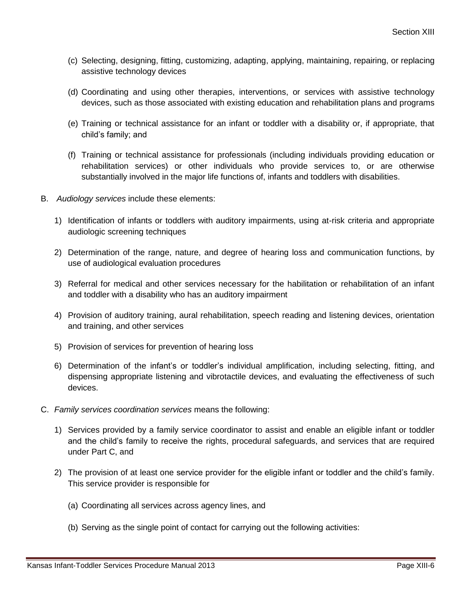- (c) Selecting, designing, fitting, customizing, adapting, applying, maintaining, repairing, or replacing assistive technology devices
- (d) Coordinating and using other therapies, interventions, or services with assistive technology devices, such as those associated with existing education and rehabilitation plans and programs
- (e) Training or technical assistance for an infant or toddler with a disability or, if appropriate, that child's family; and
- (f) Training or technical assistance for professionals (including individuals providing education or rehabilitation services) or other individuals who provide services to, or are otherwise substantially involved in the major life functions of, infants and toddlers with disabilities.
- B. *Audiology services* include these elements:
	- 1) Identification of infants or toddlers with auditory impairments, using at-risk criteria and appropriate audiologic screening techniques
	- 2) Determination of the range, nature, and degree of hearing loss and communication functions, by use of audiological evaluation procedures
	- 3) Referral for medical and other services necessary for the habilitation or rehabilitation of an infant and toddler with a disability who has an auditory impairment
	- 4) Provision of auditory training, aural rehabilitation, speech reading and listening devices, orientation and training, and other services
	- 5) Provision of services for prevention of hearing loss
	- 6) Determination of the infant's or toddler's individual amplification, including selecting, fitting, and dispensing appropriate listening and vibrotactile devices, and evaluating the effectiveness of such devices.
- C. *Family services coordination services* means the following:
	- 1) Services provided by a family service coordinator to assist and enable an eligible infant or toddler and the child's family to receive the rights, procedural safeguards, and services that are required under Part C, and
	- 2) The provision of at least one service provider for the eligible infant or toddler and the child's family. This service provider is responsible for
		- (a) Coordinating all services across agency lines, and
		- (b) Serving as the single point of contact for carrying out the following activities: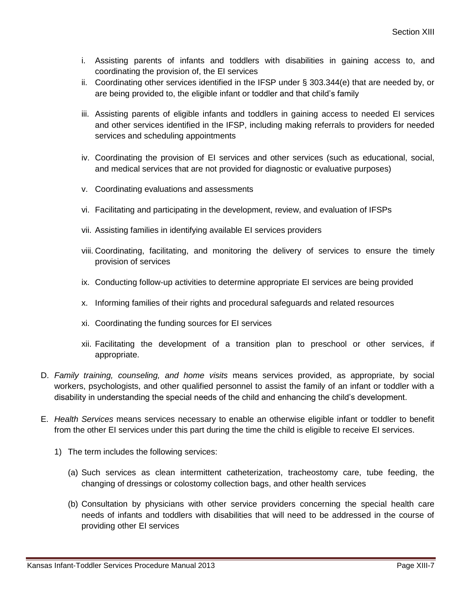- i. Assisting parents of infants and toddlers with disabilities in gaining access to, and coordinating the provision of, the EI services
- ii. Coordinating other services identified in the IFSP under § 303.344(e) that are needed by, or are being provided to, the eligible infant or toddler and that child's family
- iii. Assisting parents of eligible infants and toddlers in gaining access to needed EI services and other services identified in the IFSP, including making referrals to providers for needed services and scheduling appointments
- iv. Coordinating the provision of EI services and other services (such as educational, social, and medical services that are not provided for diagnostic or evaluative purposes)
- v. Coordinating evaluations and assessments
- vi. Facilitating and participating in the development, review, and evaluation of IFSPs
- vii. Assisting families in identifying available EI services providers
- viii. Coordinating, facilitating, and monitoring the delivery of services to ensure the timely provision of services
- ix. Conducting follow-up activities to determine appropriate EI services are being provided
- x. Informing families of their rights and procedural safeguards and related resources
- xi. Coordinating the funding sources for EI services
- xii. Facilitating the development of a transition plan to preschool or other services, if appropriate.
- D. *Family training, counseling, and home visits* means services provided, as appropriate, by social workers, psychologists, and other qualified personnel to assist the family of an infant or toddler with a disability in understanding the special needs of the child and enhancing the child's development.
- E. *Health Services* means services necessary to enable an otherwise eligible infant or toddler to benefit from the other EI services under this part during the time the child is eligible to receive EI services.
	- 1) The term includes the following services:
		- (a) Such services as clean intermittent catheterization, tracheostomy care, tube feeding, the changing of dressings or colostomy collection bags, and other health services
		- (b) Consultation by physicians with other service providers concerning the special health care needs of infants and toddlers with disabilities that will need to be addressed in the course of providing other EI services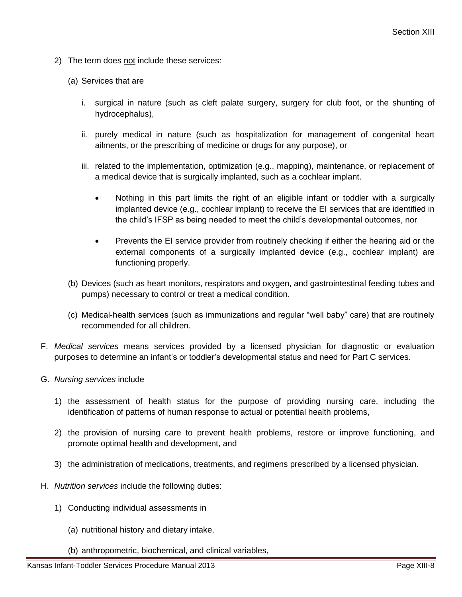- 2) The term does not include these services:
	- (a) Services that are
		- i. surgical in nature (such as cleft palate surgery, surgery for club foot, or the shunting of hydrocephalus),
		- ii. purely medical in nature (such as hospitalization for management of congenital heart ailments, or the prescribing of medicine or drugs for any purpose), or
		- iii. related to the implementation, optimization (e.g., mapping), maintenance, or replacement of a medical device that is surgically implanted, such as a cochlear implant.
			- Nothing in this part limits the right of an eligible infant or toddler with a surgically implanted device (e.g., cochlear implant) to receive the EI services that are identified in the child's IFSP as being needed to meet the child's developmental outcomes, nor
			- Prevents the EI service provider from routinely checking if either the hearing aid or the external components of a surgically implanted device (e.g., cochlear implant) are functioning properly.
	- (b) Devices (such as heart monitors, respirators and oxygen, and gastrointestinal feeding tubes and pumps) necessary to control or treat a medical condition.
	- (c) Medical-health services (such as immunizations and regular "well baby" care) that are routinely recommended for all children.
- F. *Medical services* means services provided by a licensed physician for diagnostic or evaluation purposes to determine an infant's or toddler's developmental status and need for Part C services.
- G. *Nursing services* include
	- 1) the assessment of health status for the purpose of providing nursing care, including the identification of patterns of human response to actual or potential health problems,
	- 2) the provision of nursing care to prevent health problems, restore or improve functioning, and promote optimal health and development, and
	- 3) the administration of medications, treatments, and regimens prescribed by a licensed physician.
- H. *Nutrition services* include the following duties:
	- 1) Conducting individual assessments in
		- (a) nutritional history and dietary intake,
		- (b) anthropometric, biochemical, and clinical variables,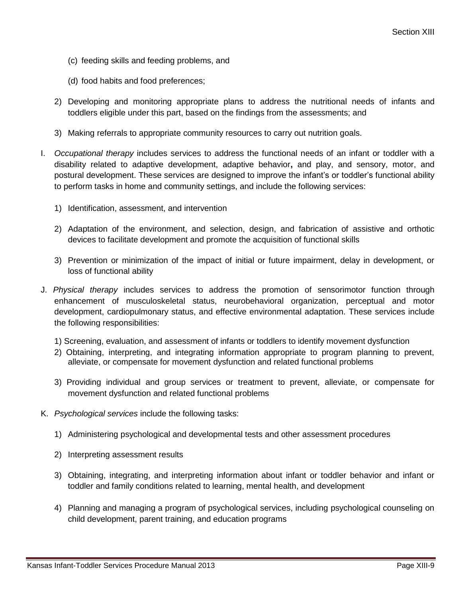- (c) feeding skills and feeding problems, and
- (d) food habits and food preferences;
- 2) Developing and monitoring appropriate plans to address the nutritional needs of infants and toddlers eligible under this part, based on the findings from the assessments; and
- 3) Making referrals to appropriate community resources to carry out nutrition goals.
- I. *Occupational therapy* includes services to address the functional needs of an infant or toddler with a disability related to adaptive development, adaptive behavior**,** and play, and sensory, motor, and postural development. These services are designed to improve the infant's or toddler's functional ability to perform tasks in home and community settings, and include the following services:
	- 1) Identification, assessment, and intervention
	- 2) Adaptation of the environment, and selection, design, and fabrication of assistive and orthotic devices to facilitate development and promote the acquisition of functional skills
	- 3) Prevention or minimization of the impact of initial or future impairment, delay in development, or loss of functional ability
- J. *Physical therapy* includes services to address the promotion of sensorimotor function through enhancement of musculoskeletal status, neurobehavioral organization, perceptual and motor development, cardiopulmonary status, and effective environmental adaptation. These services include the following responsibilities:
	- 1) Screening, evaluation, and assessment of infants or toddlers to identify movement dysfunction
	- 2) Obtaining, interpreting, and integrating information appropriate to program planning to prevent, alleviate, or compensate for movement dysfunction and related functional problems
	- 3) Providing individual and group services or treatment to prevent, alleviate, or compensate for movement dysfunction and related functional problems
- K. *Psychological services* include the following tasks:
	- 1) Administering psychological and developmental tests and other assessment procedures
	- 2) Interpreting assessment results
	- 3) Obtaining, integrating, and interpreting information about infant or toddler behavior and infant or toddler and family conditions related to learning, mental health, and development
	- 4) Planning and managing a program of psychological services, including psychological counseling on child development, parent training, and education programs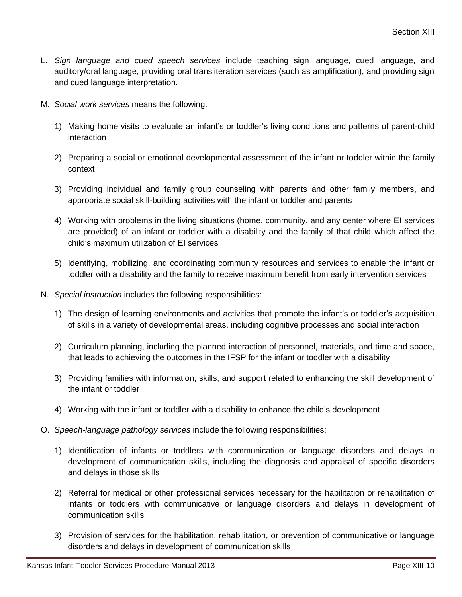- L. *Sign language and cued speech services* include teaching sign language, cued language, and auditory/oral language, providing oral transliteration services (such as amplification), and providing sign and cued language interpretation.
- M. *Social work services* means the following:
	- 1) Making home visits to evaluate an infant's or toddler's living conditions and patterns of parent-child interaction
	- 2) Preparing a social or emotional developmental assessment of the infant or toddler within the family context
	- 3) Providing individual and family group counseling with parents and other family members, and appropriate social skill-building activities with the infant or toddler and parents
	- 4) Working with problems in the living situations (home, community, and any center where EI services are provided) of an infant or toddler with a disability and the family of that child which affect the child's maximum utilization of EI services
	- 5) Identifying, mobilizing, and coordinating community resources and services to enable the infant or toddler with a disability and the family to receive maximum benefit from early intervention services
- N. *Special instruction* includes the following responsibilities:
	- 1) The design of learning environments and activities that promote the infant's or toddler's acquisition of skills in a variety of developmental areas, including cognitive processes and social interaction
	- 2) Curriculum planning, including the planned interaction of personnel, materials, and time and space, that leads to achieving the outcomes in the IFSP for the infant or toddler with a disability
	- 3) Providing families with information, skills, and support related to enhancing the skill development of the infant or toddler
	- 4) Working with the infant or toddler with a disability to enhance the child's development
- O. *Speech-language pathology services* include the following responsibilities:
	- 1) Identification of infants or toddlers with communication or language disorders and delays in development of communication skills, including the diagnosis and appraisal of specific disorders and delays in those skills
	- 2) Referral for medical or other professional services necessary for the habilitation or rehabilitation of infants or toddlers with communicative or language disorders and delays in development of communication skills
	- 3) Provision of services for the habilitation, rehabilitation, or prevention of communicative or language disorders and delays in development of communication skills